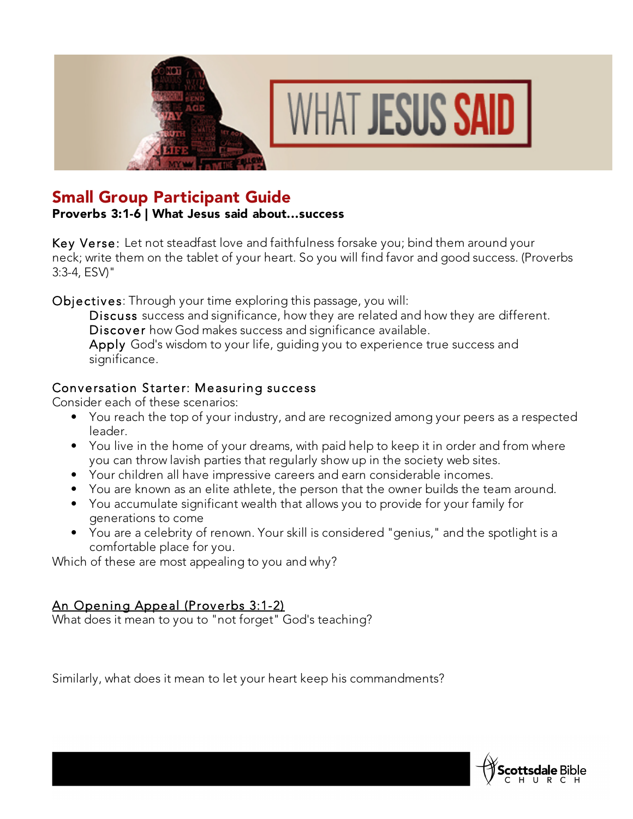



# Small Group Participant Guide

## Proverbs 3:1-6 | What Jesus said about...success

Key Verse: Let not steadfast love and faithfulness forsake you; bind them around your neck; write them on the tablet of your heart. So you will find favor and good success. (Proverbs 3:3-4, ESV)"

Objectives: Through your time exploring this passage, you will:

Discuss success and significance, how they are related and how they are different. Discover how God makes success and significance available.

Apply God's wisdom to your life, quiding you to experience true success and significance.

## Conversation Starter: Measuring success

Consider each of these scenarios:

- You reach the top of your industry, and are recognized among your peers as a respected leader.
- You live in the home of your dreams, with paid help to keep it in order and from where you can throw lavish parties that regularly show up in the society web sites.
- Your children all have impressive careers and earn considerable incomes.
- You are known as an elite athlete, the person that the owner builds the team around.
- You accumulate significant wealth that allows you to provide for your family for generations to come
- You are a celebrity of renown. Your skill is considered "genius," and the spotlight is a comfortable place for you.

Which of these are most appealing to you and why?

## An Opening Appeal (Proverbs 3:1-2)

What does it mean to you to "not forget" God's teaching?

Similarly, what does it mean to let your heart keep his commandments?